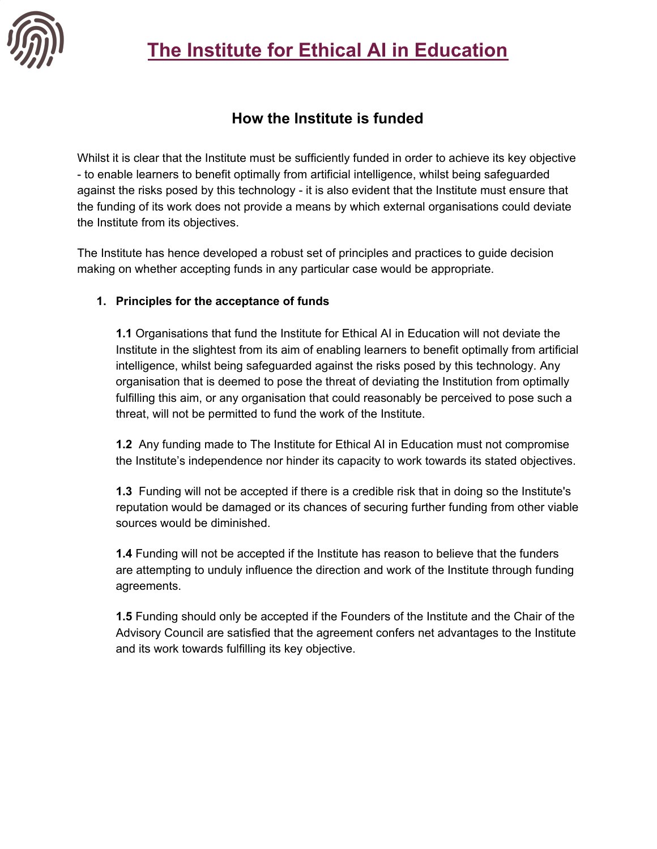# **The Institute for Ethical AI in Education**



### **How the Institute is funded**

Whilst it is clear that the Institute must be sufficiently funded in order to achieve its key objective - to enable learners to benefit optimally from artificial intelligence, whilst being safeguarded against the risks posed by this technology - it is also evident that the Institute must ensure that the funding of its work does not provide a means by which external organisations could deviate the Institute from its objectives.

The Institute has hence developed a robust set of principles and practices to guide decision making on whether accepting funds in any particular case would be appropriate.

#### **1. Principles for the acceptance of funds**

**1.1** Organisations that fund the Institute for Ethical AI in Education will not deviate the Institute in the slightest from its aim of enabling learners to benefit optimally from artificial intelligence, whilst being safeguarded against the risks posed by this technology. Any organisation that is deemed to pose the threat of deviating the Institution from optimally fulfilling this aim, or any organisation that could reasonably be perceived to pose such a threat, will not be permitted to fund the work of the Institute.

**1.2** Any funding made to The Institute for Ethical AI in Education must not compromise the Institute's independence nor hinder its capacity to work towards its stated objectives.

**1.3** Funding will not be accepted if there is a credible risk that in doing so the Institute's reputation would be damaged or its chances of securing further funding from other viable sources would be diminished.

**1.4** Funding will not be accepted if the Institute has reason to believe that the funders are attempting to unduly influence the direction and work of the Institute through funding agreements.

**1.5** Funding should only be accepted if the Founders of the Institute and the Chair of the Advisory Council are satisfied that the agreement confers net advantages to the Institute and its work towards fulfilling its key objective.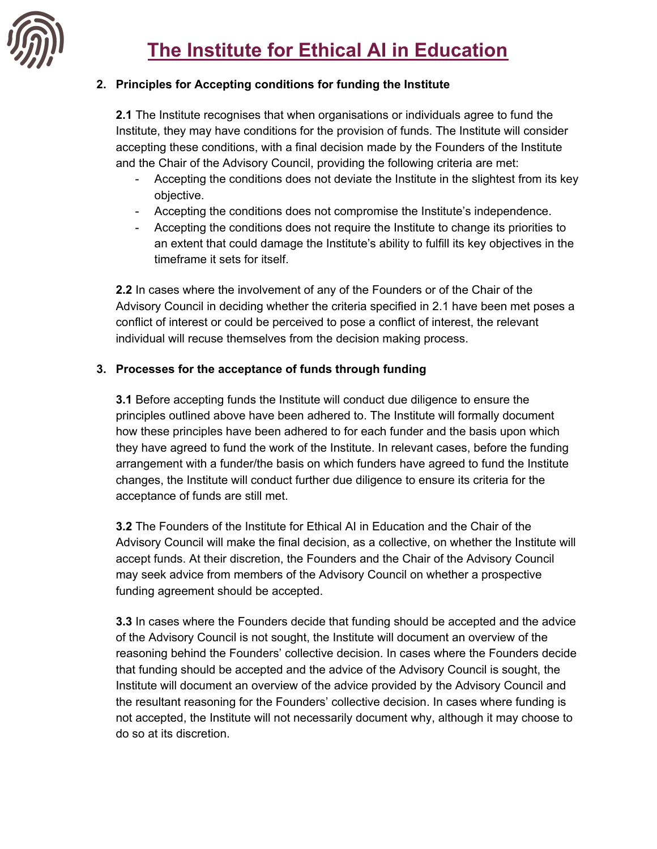

### **2. Principles for Accepting conditions for funding the Institute**

**2.1** The Institute recognises that when organisations or individuals agree to fund the Institute, they may have conditions for the provision of funds. The Institute will consider accepting these conditions, with a final decision made by the Founders of the Institute and the Chair of the Advisory Council, providing the following criteria are met:

- Accepting the conditions does not deviate the Institute in the slightest from its key objective.
- Accepting the conditions does not compromise the Institute's independence.
- Accepting the conditions does not require the Institute to change its priorities to an extent that could damage the Institute's ability to fulfill its key objectives in the timeframe it sets for itself.

**2.2** In cases where the involvement of any of the Founders or of the Chair of the Advisory Council in deciding whether the criteria specified in 2.1 have been met poses a conflict of interest or could be perceived to pose a conflict of interest, the relevant individual will recuse themselves from the decision making process.

### **3. Processes for the acceptance of funds through funding**

**3.1** Before accepting funds the Institute will conduct due diligence to ensure the principles outlined above have been adhered to. The Institute will formally document how these principles have been adhered to for each funder and the basis upon which they have agreed to fund the work of the Institute. In relevant cases, before the funding arrangement with a funder/the basis on which funders have agreed to fund the Institute changes, the Institute will conduct further due diligence to ensure its criteria for the acceptance of funds are still met.

**3.2** The Founders of the Institute for Ethical AI in Education and the Chair of the Advisory Council will make the final decision, as a collective, on whether the Institute will accept funds. At their discretion, the Founders and the Chair of the Advisory Council may seek advice from members of the Advisory Council on whether a prospective funding agreement should be accepted.

**3.3** In cases where the Founders decide that funding should be accepted and the advice of the Advisory Council is not sought, the Institute will document an overview of the reasoning behind the Founders' collective decision. In cases where the Founders decide that funding should be accepted and the advice of the Advisory Council is sought, the Institute will document an overview of the advice provided by the Advisory Council and the resultant reasoning for the Founders' collective decision. In cases where funding is not accepted, the Institute will not necessarily document why, although it may choose to do so at its discretion.